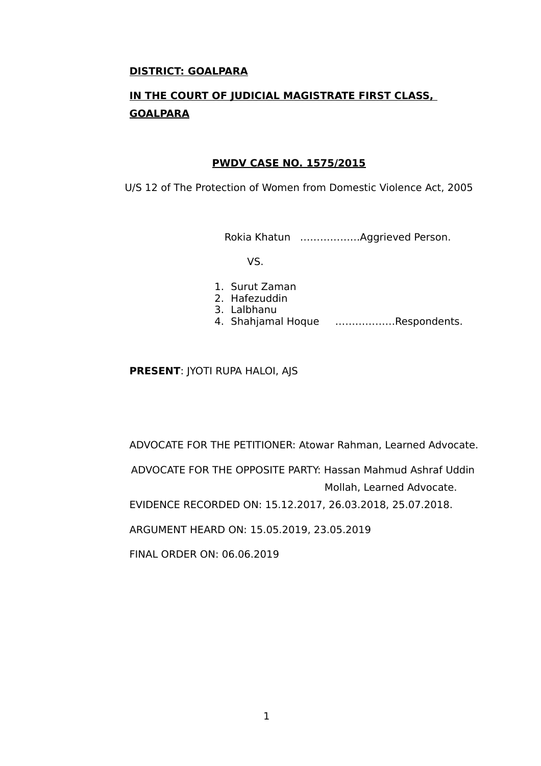## **DISTRICT: GOALPARA**

# **IN THE COURT OF JUDICIAL MAGISTRATE FIRST CLASS, GOALPARA**

## **PWDV CASE NO. 1575/2015**

U/S 12 of The Protection of Women from Domestic Violence Act, 2005

Rokia Khatun ………………Aggrieved Person.

VS.

- 1. Surut Zaman
- 2. Hafezuddin
- 3. Lalbhanu
- 4. Shahjamal Hoque ………………Respondents.

## **PRESENT**: JYOTI RUPA HALOI, AJS

ADVOCATE FOR THE PETITIONER: Atowar Rahman, Learned Advocate.

 ADVOCATE FOR THE OPPOSITE PARTY: Hassan Mahmud Ashraf Uddin Mollah, Learned Advocate.

EVIDENCE RECORDED ON: 15.12.2017, 26.03.2018, 25.07.2018.

ARGUMENT HEARD ON: 15.05.2019, 23.05.2019

FINAL ORDER ON: 06.06.2019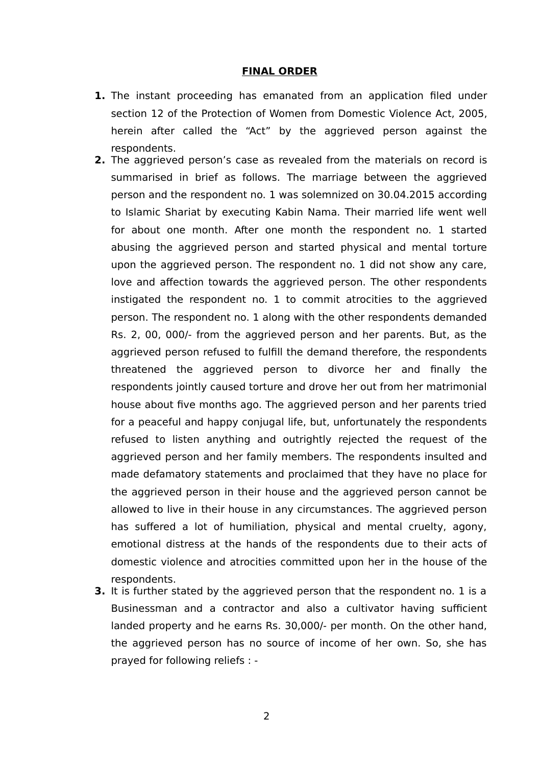#### **FINAL ORDER**

- **1.** The instant proceeding has emanated from an application filed under section 12 of the Protection of Women from Domestic Violence Act, 2005, herein after called the "Act" by the aggrieved person against the respondents.
- **2.** The aggrieved person's case as revealed from the materials on record is summarised in brief as follows. The marriage between the aggrieved person and the respondent no. 1 was solemnized on 30.04.2015 according to Islamic Shariat by executing Kabin Nama. Their married life went well for about one month. After one month the respondent no. 1 started abusing the aggrieved person and started physical and mental torture upon the aggrieved person. The respondent no. 1 did not show any care, love and affection towards the aggrieved person. The other respondents instigated the respondent no. 1 to commit atrocities to the aggrieved person. The respondent no. 1 along with the other respondents demanded Rs. 2, 00, 000/- from the aggrieved person and her parents. But, as the aggrieved person refused to fulfill the demand therefore, the respondents threatened the aggrieved person to divorce her and finally the respondents jointly caused torture and drove her out from her matrimonial house about five months ago. The aggrieved person and her parents tried for a peaceful and happy conjugal life, but, unfortunately the respondents refused to listen anything and outrightly rejected the request of the aggrieved person and her family members. The respondents insulted and made defamatory statements and proclaimed that they have no place for the aggrieved person in their house and the aggrieved person cannot be allowed to live in their house in any circumstances. The aggrieved person has suffered a lot of humiliation, physical and mental cruelty, agony, emotional distress at the hands of the respondents due to their acts of domestic violence and atrocities committed upon her in the house of the respondents.
- **3.** It is further stated by the aggrieved person that the respondent no. 1 is a Businessman and a contractor and also a cultivator having sufficient landed property and he earns Rs. 30,000/- per month. On the other hand, the aggrieved person has no source of income of her own. So, she has prayed for following reliefs : -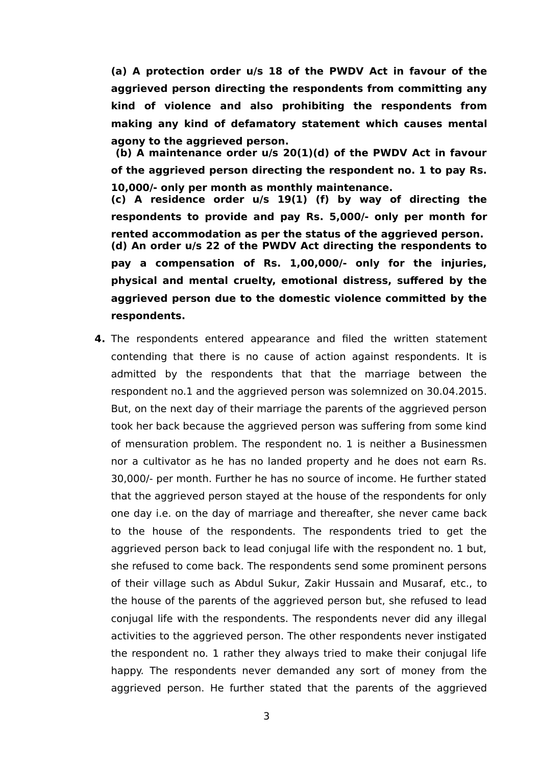**(a) A protection order u/s 18 of the PWDV Act in favour of the aggrieved person directing the respondents from committing any kind of violence and also prohibiting the respondents from making any kind of defamatory statement which causes mental agony to the aggrieved person.**

 **(b) A maintenance order u/s 20(1)(d) of the PWDV Act in favour of the aggrieved person directing the respondent no. 1 to pay Rs. 10,000/- only per month as monthly maintenance. (c) A residence order u/s 19(1) (f) by way of directing the respondents to provide and pay Rs. 5,000/- only per month for rented accommodation as per the status of the aggrieved person. (d) An order u/s 22 of the PWDV Act directing the respondents to pay a compensation of Rs. 1,00,000/- only for the injuries, physical and mental cruelty, emotional distress, suffered by the aggrieved person due to the domestic violence committed by the respondents.** 

**4.** The respondents entered appearance and filed the written statement contending that there is no cause of action against respondents. It is admitted by the respondents that that the marriage between the respondent no.1 and the aggrieved person was solemnized on 30.04.2015. But, on the next day of their marriage the parents of the aggrieved person took her back because the aggrieved person was suffering from some kind of mensuration problem. The respondent no. 1 is neither a Businessmen nor a cultivator as he has no landed property and he does not earn Rs. 30,000/- per month. Further he has no source of income. He further stated that the aggrieved person stayed at the house of the respondents for only one day i.e. on the day of marriage and thereafter, she never came back to the house of the respondents. The respondents tried to get the aggrieved person back to lead conjugal life with the respondent no. 1 but, she refused to come back. The respondents send some prominent persons of their village such as Abdul Sukur, Zakir Hussain and Musaraf, etc., to the house of the parents of the aggrieved person but, she refused to lead conjugal life with the respondents. The respondents never did any illegal activities to the aggrieved person. The other respondents never instigated the respondent no. 1 rather they always tried to make their conjugal life happy. The respondents never demanded any sort of money from the aggrieved person. He further stated that the parents of the aggrieved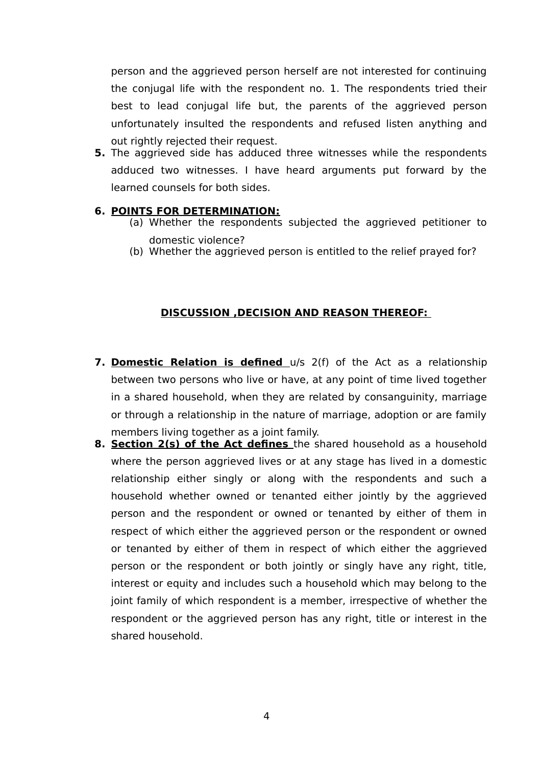person and the aggrieved person herself are not interested for continuing the conjugal life with the respondent no. 1. The respondents tried their best to lead conjugal life but, the parents of the aggrieved person unfortunately insulted the respondents and refused listen anything and out rightly rejected their request.

**5.** The aggrieved side has adduced three witnesses while the respondents adduced two witnesses. I have heard arguments put forward by the learned counsels for both sides.

## **6. POINTS FOR DETERMINATION:**

- (a) Whether the respondents subjected the aggrieved petitioner to domestic violence?
- (b) Whether the aggrieved person is entitled to the relief prayed for?

## **DISCUSSION ,DECISION AND REASON THEREOF:**

- **7. Domestic Relation is defined** u/s 2(f) of the Act as a relationship between two persons who live or have, at any point of time lived together in a shared household, when they are related by consanguinity, marriage or through a relationship in the nature of marriage, adoption or are family members living together as a joint family.
- **8. Section 2(s) of the Act defines** the shared household as a household where the person aggrieved lives or at any stage has lived in a domestic relationship either singly or along with the respondents and such a household whether owned or tenanted either jointly by the aggrieved person and the respondent or owned or tenanted by either of them in respect of which either the aggrieved person or the respondent or owned or tenanted by either of them in respect of which either the aggrieved person or the respondent or both jointly or singly have any right, title, interest or equity and includes such a household which may belong to the joint family of which respondent is a member, irrespective of whether the respondent or the aggrieved person has any right, title or interest in the shared household.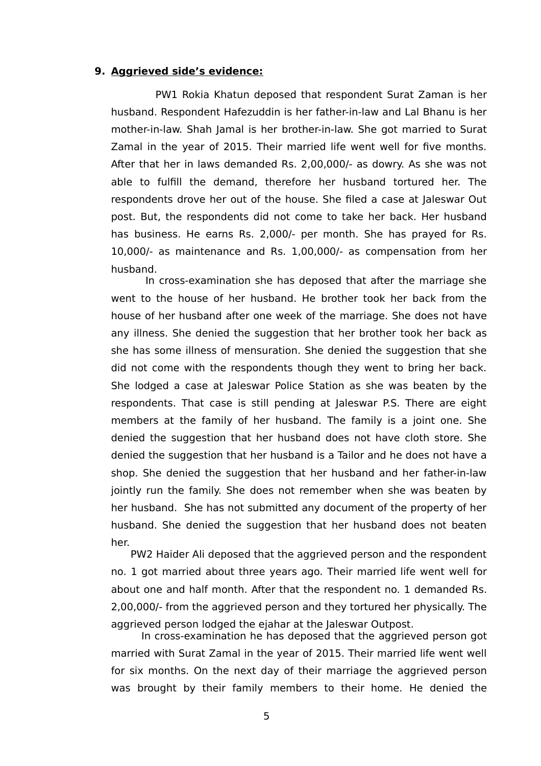#### **9. Aggrieved side's evidence:**

 PW1 Rokia Khatun deposed that respondent Surat Zaman is her husband. Respondent Hafezuddin is her father-in-law and Lal Bhanu is her mother-in-law. Shah Jamal is her brother-in-law. She got married to Surat Zamal in the year of 2015. Their married life went well for five months. After that her in laws demanded Rs. 2,00,000/- as dowry. As she was not able to fulfill the demand, therefore her husband tortured her. The respondents drove her out of the house. She filed a case at Jaleswar Out post. But, the respondents did not come to take her back. Her husband has business. He earns Rs. 2,000/- per month. She has prayed for Rs. 10,000/- as maintenance and Rs. 1,00,000/- as compensation from her husband.

 In cross-examination she has deposed that after the marriage she went to the house of her husband. He brother took her back from the house of her husband after one week of the marriage. She does not have any illness. She denied the suggestion that her brother took her back as she has some illness of mensuration. She denied the suggestion that she did not come with the respondents though they went to bring her back. She lodged a case at Jaleswar Police Station as she was beaten by the respondents. That case is still pending at Jaleswar P.S. There are eight members at the family of her husband. The family is a joint one. She denied the suggestion that her husband does not have cloth store. She denied the suggestion that her husband is a Tailor and he does not have a shop. She denied the suggestion that her husband and her father-in-law jointly run the family. She does not remember when she was beaten by her husband. She has not submitted any document of the property of her husband. She denied the suggestion that her husband does not beaten her.

 PW2 Haider Ali deposed that the aggrieved person and the respondent no. 1 got married about three years ago. Their married life went well for about one and half month. After that the respondent no. 1 demanded Rs. 2,00,000/- from the aggrieved person and they tortured her physically. The aggrieved person lodged the ejahar at the Jaleswar Outpost.

 In cross-examination he has deposed that the aggrieved person got married with Surat Zamal in the year of 2015. Their married life went well for six months. On the next day of their marriage the aggrieved person was brought by their family members to their home. He denied the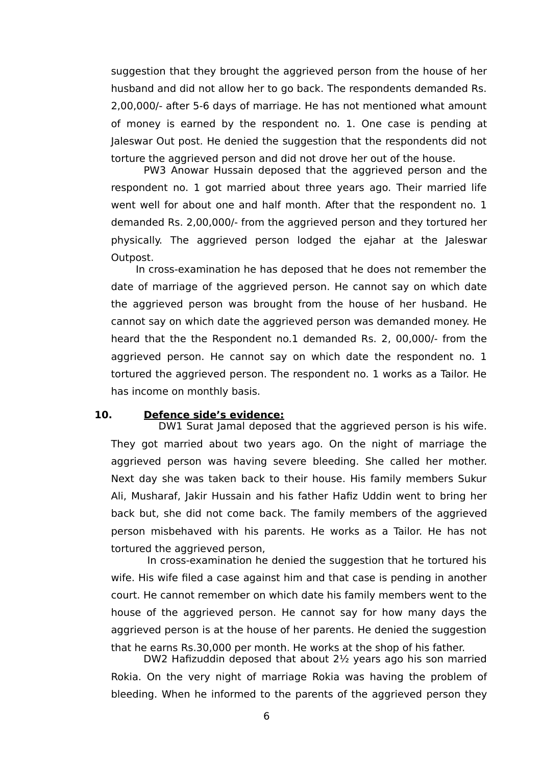suggestion that they brought the aggrieved person from the house of her husband and did not allow her to go back. The respondents demanded Rs. 2,00,000/- after 5-6 days of marriage. He has not mentioned what amount of money is earned by the respondent no. 1. One case is pending at Jaleswar Out post. He denied the suggestion that the respondents did not torture the aggrieved person and did not drove her out of the house.

PW3 Anowar Hussain deposed that the aggrieved person and the respondent no. 1 got married about three years ago. Their married life went well for about one and half month. After that the respondent no. 1 demanded Rs. 2,00,000/- from the aggrieved person and they tortured her physically. The aggrieved person lodged the ejahar at the Jaleswar Outpost.

 In cross-examination he has deposed that he does not remember the date of marriage of the aggrieved person. He cannot say on which date the aggrieved person was brought from the house of her husband. He cannot say on which date the aggrieved person was demanded money. He heard that the the Respondent no.1 demanded Rs. 2, 00,000/- from the aggrieved person. He cannot say on which date the respondent no. 1 tortured the aggrieved person. The respondent no. 1 works as a Tailor. He has income on monthly basis.

## **10. Defence side's evidence:**

DW1 Surat Jamal deposed that the aggrieved person is his wife. They got married about two years ago. On the night of marriage the aggrieved person was having severe bleeding. She called her mother. Next day she was taken back to their house. His family members Sukur Ali, Musharaf, Jakir Hussain and his father Hafiz Uddin went to bring her back but, she did not come back. The family members of the aggrieved person misbehaved with his parents. He works as a Tailor. He has not tortured the aggrieved person,

 In cross-examination he denied the suggestion that he tortured his wife. His wife filed a case against him and that case is pending in another court. He cannot remember on which date his family members went to the house of the aggrieved person. He cannot say for how many days the aggrieved person is at the house of her parents. He denied the suggestion that he earns Rs.30,000 per month. He works at the shop of his father.

 DW2 Hafizuddin deposed that about 2½ years ago his son married Rokia. On the very night of marriage Rokia was having the problem of bleeding. When he informed to the parents of the aggrieved person they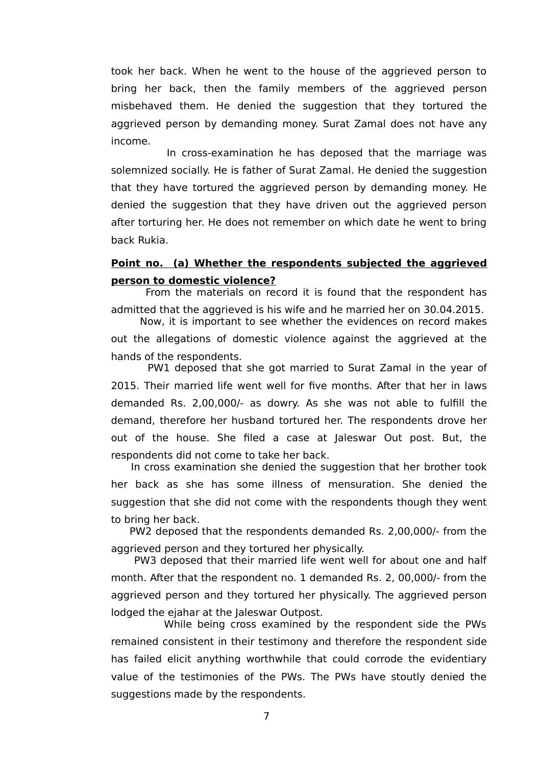took her back. When he went to the house of the aggrieved person to bring her back, then the family members of the aggrieved person misbehaved them. He denied the suggestion that they tortured the aggrieved person by demanding money. Surat Zamal does not have any income.

 In cross-examination he has deposed that the marriage was solemnized socially. He is father of Surat Zamal. He denied the suggestion that they have tortured the aggrieved person by demanding money. He denied the suggestion that they have driven out the aggrieved person after torturing her. He does not remember on which date he went to bring back Rukia.

## **Point no. (a) Whether the respondents subjected the aggrieved person to domestic violence?**

 From the materials on record it is found that the respondent has admitted that the aggrieved is his wife and he married her on 30.04.2015.

 Now, it is important to see whether the evidences on record makes out the allegations of domestic violence against the aggrieved at the hands of the respondents.

 PW1 deposed that she got married to Surat Zamal in the year of 2015. Their married life went well for five months. After that her in laws demanded Rs. 2,00,000/- as dowry. As she was not able to fulfill the demand, therefore her husband tortured her. The respondents drove her out of the house. She filed a case at Jaleswar Out post. But, the respondents did not come to take her back.

 In cross examination she denied the suggestion that her brother took her back as she has some illness of mensuration. She denied the suggestion that she did not come with the respondents though they went to bring her back.

 PW2 deposed that the respondents demanded Rs. 2,00,000/- from the aggrieved person and they tortured her physically.

 PW3 deposed that their married life went well for about one and half month. After that the respondent no. 1 demanded Rs. 2, 00,000/- from the aggrieved person and they tortured her physically. The aggrieved person lodged the ejahar at the Jaleswar Outpost.

 While being cross examined by the respondent side the PWs remained consistent in their testimony and therefore the respondent side has failed elicit anything worthwhile that could corrode the evidentiary value of the testimonies of the PWs. The PWs have stoutly denied the suggestions made by the respondents.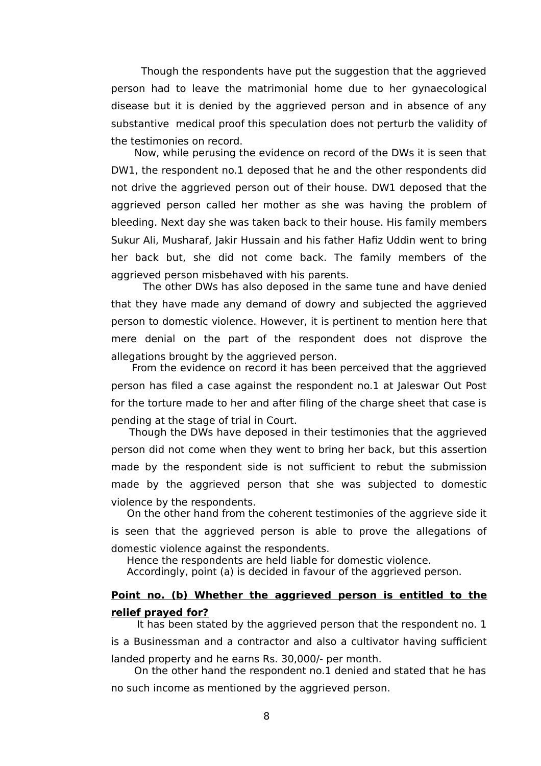Though the respondents have put the suggestion that the aggrieved person had to leave the matrimonial home due to her gynaecological disease but it is denied by the aggrieved person and in absence of any substantive medical proof this speculation does not perturb the validity of the testimonies on record.

 Now, while perusing the evidence on record of the DWs it is seen that DW1, the respondent no.1 deposed that he and the other respondents did not drive the aggrieved person out of their house. DW1 deposed that the aggrieved person called her mother as she was having the problem of bleeding. Next day she was taken back to their house. His family members Sukur Ali, Musharaf, Jakir Hussain and his father Hafiz Uddin went to bring her back but, she did not come back. The family members of the aggrieved person misbehaved with his parents.

 The other DWs has also deposed in the same tune and have denied that they have made any demand of dowry and subjected the aggrieved person to domestic violence. However, it is pertinent to mention here that mere denial on the part of the respondent does not disprove the allegations brought by the aggrieved person.

 From the evidence on record it has been perceived that the aggrieved person has filed a case against the respondent no.1 at Jaleswar Out Post for the torture made to her and after filing of the charge sheet that case is pending at the stage of trial in Court.

 Though the DWs have deposed in their testimonies that the aggrieved person did not come when they went to bring her back, but this assertion made by the respondent side is not sufficient to rebut the submission made by the aggrieved person that she was subjected to domestic violence by the respondents.

 On the other hand from the coherent testimonies of the aggrieve side it is seen that the aggrieved person is able to prove the allegations of domestic violence against the respondents.

Hence the respondents are held liable for domestic violence.

Accordingly, point (a) is decided in favour of the aggrieved person.

## **Point no. (b) Whether the aggrieved person is entitled to the relief prayed for?**

It has been stated by the aggrieved person that the respondent no. 1 is a Businessman and a contractor and also a cultivator having sufficient landed property and he earns Rs. 30,000/- per month.

 On the other hand the respondent no.1 denied and stated that he has no such income as mentioned by the aggrieved person.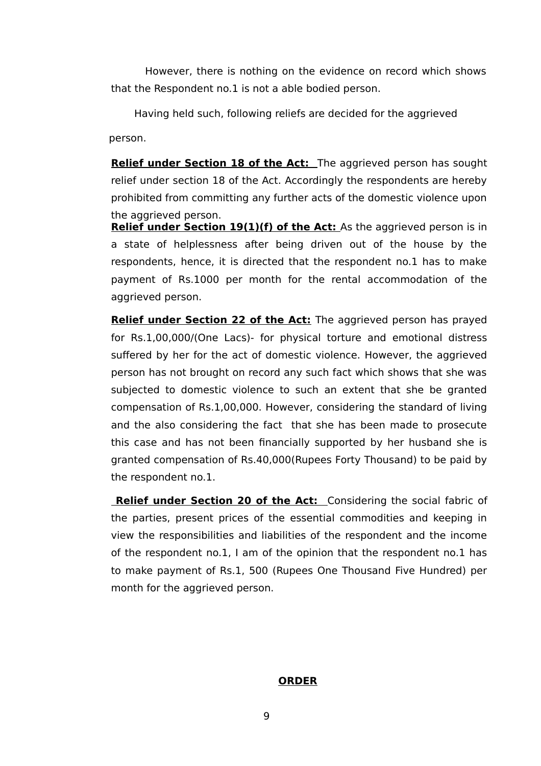However, there is nothing on the evidence on record which shows that the Respondent no.1 is not a able bodied person.

 Having held such, following reliefs are decided for the aggrieved person.

**Relief under Section 18 of the Act:** The aggrieved person has sought relief under section 18 of the Act. Accordingly the respondents are hereby prohibited from committing any further acts of the domestic violence upon the aggrieved person.

**Relief under Section 19(1)(f) of the Act:** As the aggrieved person is in a state of helplessness after being driven out of the house by the respondents, hence, it is directed that the respondent no.1 has to make payment of Rs.1000 per month for the rental accommodation of the aggrieved person.

**Relief under Section 22 of the Act:** The aggrieved person has prayed for Rs.1,00,000/(One Lacs)- for physical torture and emotional distress suffered by her for the act of domestic violence. However, the aggrieved person has not brought on record any such fact which shows that she was subjected to domestic violence to such an extent that she be granted compensation of Rs.1,00,000. However, considering the standard of living and the also considering the fact that she has been made to prosecute this case and has not been financially supported by her husband she is granted compensation of Rs.40,000(Rupees Forty Thousand) to be paid by the respondent no.1.

**Relief under Section 20 of the Act:** Considering the social fabric of the parties, present prices of the essential commodities and keeping in view the responsibilities and liabilities of the respondent and the income of the respondent no.1, I am of the opinion that the respondent no.1 has to make payment of Rs.1, 500 (Rupees One Thousand Five Hundred) per month for the aggrieved person.

### **ORDER**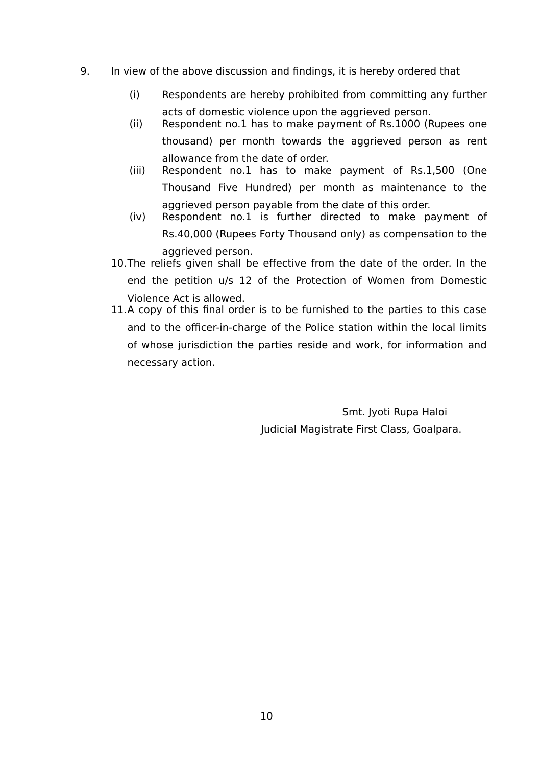- 9. In view of the above discussion and findings, it is hereby ordered that
	- (i) Respondents are hereby prohibited from committing any further acts of domestic violence upon the aggrieved person.
	- (ii) Respondent no.1 has to make payment of Rs.1000 (Rupees one thousand) per month towards the aggrieved person as rent allowance from the date of order.
	- (iii) Respondent no.1 has to make payment of Rs.1,500 (One Thousand Five Hundred) per month as maintenance to the aggrieved person payable from the date of this order.
	- (iv) Respondent no.1 is further directed to make payment of Rs.40,000 (Rupees Forty Thousand only) as compensation to the aggrieved person.
	- 10.The reliefs given shall be effective from the date of the order. In the end the petition u/s 12 of the Protection of Women from Domestic Violence Act is allowed.
	- 11.A copy of this final order is to be furnished to the parties to this case and to the officer-in-charge of the Police station within the local limits of whose jurisdiction the parties reside and work, for information and necessary action.

 Smt. Jyoti Rupa Haloi Judicial Magistrate First Class, Goalpara.